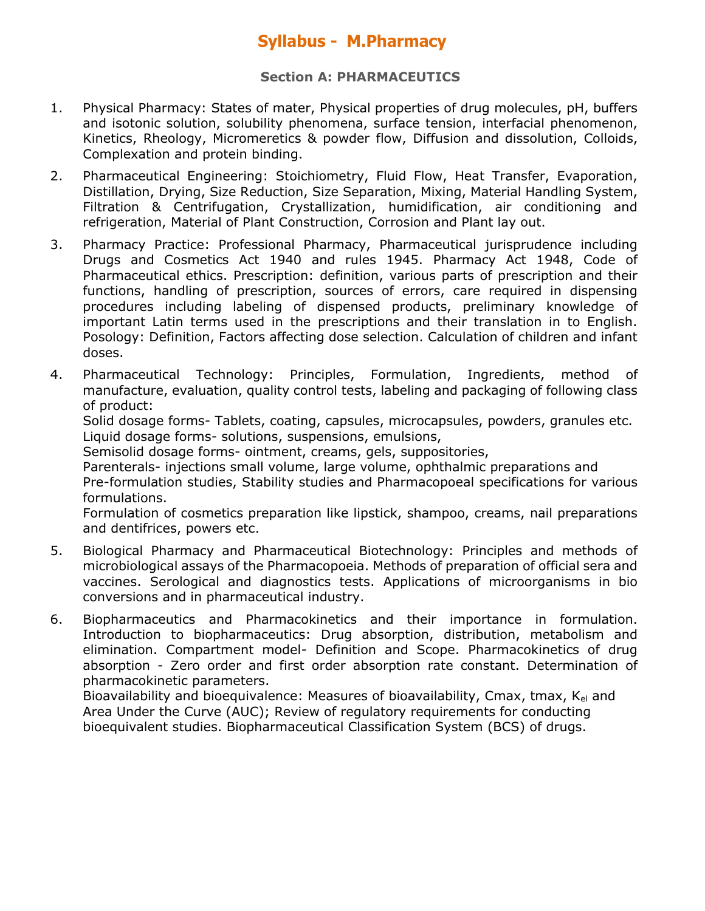### **Section A: PHARMACEUTICS**

- 1. Physical Pharmacy: States of mater, Physical properties of drug molecules, pH, buffers and isotonic solution, solubility phenomena, surface tension, interfacial phenomenon, Kinetics, Rheology, Micromeretics & powder flow, Diffusion and dissolution, Colloids, Complexation and protein binding.
- 2. Pharmaceutical Engineering: Stoichiometry, Fluid Flow, Heat Transfer, Evaporation, Distillation, Drying, Size Reduction, Size Separation, Mixing, Material Handling System, Filtration & Centrifugation, Crystallization, humidification, air conditioning and refrigeration, Material of Plant Construction, Corrosion and Plant lay out.
- 3. Pharmacy Practice: Professional Pharmacy, Pharmaceutical jurisprudence including Drugs and Cosmetics Act 1940 and rules 1945. Pharmacy Act 1948, Code of Pharmaceutical ethics. Prescription: definition, various parts of prescription and their functions, handling of prescription, sources of errors, care required in dispensing procedures including labeling of dispensed products, preliminary knowledge of important Latin terms used in the prescriptions and their translation in to English. Posology: Definition, Factors affecting dose selection. Calculation of children and infant doses.
- 4. Pharmaceutical Technology: Principles, Formulation, Ingredients, method of manufacture, evaluation, quality control tests, labeling and packaging of following class of product:

Solid dosage forms- Tablets, coating, capsules, microcapsules, powders, granules etc. Liquid dosage forms- solutions, suspensions, emulsions,

Semisolid dosage forms- ointment, creams, gels, suppositories,

Parenterals- injections small volume, large volume, ophthalmic preparations and Pre-formulation studies, Stability studies and Pharmacopoeal specifications for various formulations.

Formulation of cosmetics preparation like lipstick, shampoo, creams, nail preparations and dentifrices, powers etc.

- 5. Biological Pharmacy and Pharmaceutical Biotechnology: Principles and methods of microbiological assays of the Pharmacopoeia. Methods of preparation of official sera and vaccines. Serological and diagnostics tests. Applications of microorganisms in bio conversions and in pharmaceutical industry.
- 6. Biopharmaceutics and Pharmacokinetics and their importance in formulation. Introduction to biopharmaceutics: Drug absorption, distribution, metabolism and elimination. Compartment model- Definition and Scope. Pharmacokinetics of drug absorption - Zero order and first order absorption rate constant. Determination of pharmacokinetic parameters.

Bioavailability and bioequivalence: Measures of bioavailability, Cmax, tmax, K<sub>el</sub> and Area Under the Curve (AUC); Review of regulatory requirements for conducting bioequivalent studies. Biopharmaceutical Classification System (BCS) of drugs.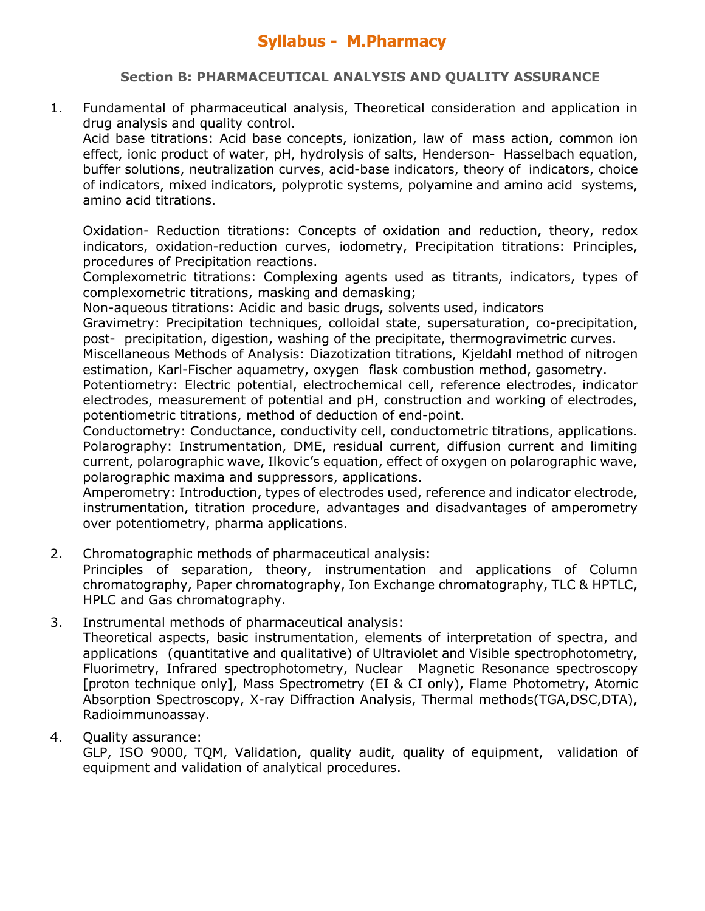### **Section B: PHARMACEUTICAL ANALYSIS AND QUALITY ASSURANCE**

1. Fundamental of pharmaceutical analysis, Theoretical consideration and application in drug analysis and quality control.

Acid base titrations: Acid base concepts, ionization, law of mass action, common ion effect, ionic product of water, pH, hydrolysis of salts, Henderson- Hasselbach equation, buffer solutions, neutralization curves, acid-base indicators, theory of indicators, choice of indicators, mixed indicators, polyprotic systems, polyamine and amino acid systems, amino acid titrations.

Oxidation- Reduction titrations: Concepts of oxidation and reduction, theory, redox indicators, oxidation-reduction curves, iodometry, Precipitation titrations: Principles, procedures of Precipitation reactions.

Complexometric titrations: Complexing agents used as titrants, indicators, types of complexometric titrations, masking and demasking;

Non-aqueous titrations: Acidic and basic drugs, solvents used, indicators

Gravimetry: Precipitation techniques, colloidal state, supersaturation, co-precipitation, post- precipitation, digestion, washing of the precipitate, thermogravimetric curves.

Miscellaneous Methods of Analysis: Diazotization titrations, Kjeldahl method of nitrogen estimation, Karl-Fischer aquametry, oxygen flask combustion method, gasometry.

Potentiometry: Electric potential, electrochemical cell, reference electrodes, indicator electrodes, measurement of potential and pH, construction and working of electrodes, potentiometric titrations, method of deduction of end-point.

Conductometry: Conductance, conductivity cell, conductometric titrations, applications. Polarography: Instrumentation, DME, residual current, diffusion current and limiting current, polarographic wave, Ilkovic's equation, effect of oxygen on polarographic wave, polarographic maxima and suppressors, applications.

Amperometry: Introduction, types of electrodes used, reference and indicator electrode, instrumentation, titration procedure, advantages and disadvantages of amperometry over potentiometry, pharma applications.

- 2. Chromatographic methods of pharmaceutical analysis: Principles of separation, theory, instrumentation and applications of Column chromatography, Paper chromatography, Ion Exchange chromatography, TLC & HPTLC, HPLC and Gas chromatography.
- 3. Instrumental methods of pharmaceutical analysis:

Theoretical aspects, basic instrumentation, elements of interpretation of spectra, and applications (quantitative and qualitative) of Ultraviolet and Visible spectrophotometry, Fluorimetry, Infrared spectrophotometry, Nuclear Magnetic Resonance spectroscopy [proton technique only], Mass Spectrometry (EI & CI only), Flame Photometry, Atomic Absorption Spectroscopy, X-ray Diffraction Analysis, Thermal methods(TGA,DSC,DTA), Radioimmunoassay.

### 4. Quality assurance:

GLP, ISO 9000, TQM, Validation, quality audit, quality of equipment, validation of equipment and validation of analytical procedures.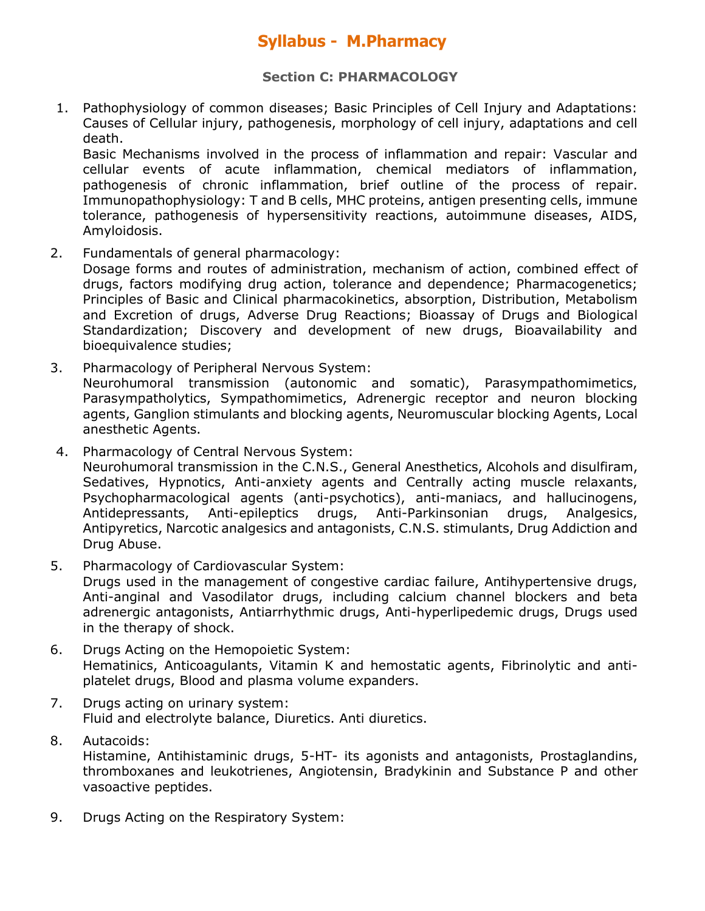#### **Section C: PHARMACOLOGY**

1. Pathophysiology of common diseases; Basic Principles of Cell Injury and Adaptations: Causes of Cellular injury, pathogenesis, morphology of cell injury, adaptations and cell death.

Basic Mechanisms involved in the process of inflammation and repair: Vascular and cellular events of acute inflammation, chemical mediators of inflammation, pathogenesis of chronic inflammation, brief outline of the process of repair. Immunopathophysiology: T and B cells, MHC proteins, antigen presenting cells, immune tolerance, pathogenesis of hypersensitivity reactions, autoimmune diseases, AIDS, Amyloidosis.

2. Fundamentals of general pharmacology:

Dosage forms and routes of administration, mechanism of action, combined effect of drugs, factors modifying drug action, tolerance and dependence; Pharmacogenetics; Principles of Basic and Clinical pharmacokinetics, absorption, Distribution, Metabolism and Excretion of drugs, Adverse Drug Reactions; Bioassay of Drugs and Biological Standardization; Discovery and development of new drugs, Bioavailability and bioequivalence studies;

- 3. Pharmacology of Peripheral Nervous System: Neurohumoral transmission (autonomic and somatic), Parasympathomimetics, Parasympatholytics, Sympathomimetics, Adrenergic receptor and neuron blocking agents, Ganglion stimulants and blocking agents, Neuromuscular blocking Agents, Local anesthetic Agents.
- 4. Pharmacology of Central Nervous System: Neurohumoral transmission in the C.N.S., General Anesthetics, Alcohols and disulfiram, Sedatives, Hypnotics, Anti-anxiety agents and Centrally acting muscle relaxants, Psychopharmacological agents (anti-psychotics), anti-maniacs, and hallucinogens, Antidepressants, Anti-epileptics drugs, Anti-Parkinsonian drugs, Analgesics, Antipyretics, Narcotic analgesics and antagonists, C.N.S. stimulants, Drug Addiction and Drug Abuse.
- 5. Pharmacology of Cardiovascular System:

Drugs used in the management of congestive cardiac failure, Antihypertensive drugs, Anti-anginal and Vasodilator drugs, including calcium channel blockers and beta adrenergic antagonists, Antiarrhythmic drugs, Anti-hyperlipedemic drugs, Drugs used in the therapy of shock.

- 6. Drugs Acting on the Hemopoietic System: Hematinics, Anticoagulants, Vitamin K and hemostatic agents, Fibrinolytic and antiplatelet drugs, Blood and plasma volume expanders.
- 7. Drugs acting on urinary system: Fluid and electrolyte balance, Diuretics. Anti diuretics.
- 8. Autacoids: Histamine, Antihistaminic drugs, 5-HT- its agonists and antagonists, Prostaglandins, thromboxanes and leukotrienes, Angiotensin, Bradykinin and Substance P and other vasoactive peptides.
- 9. Drugs Acting on the Respiratory System: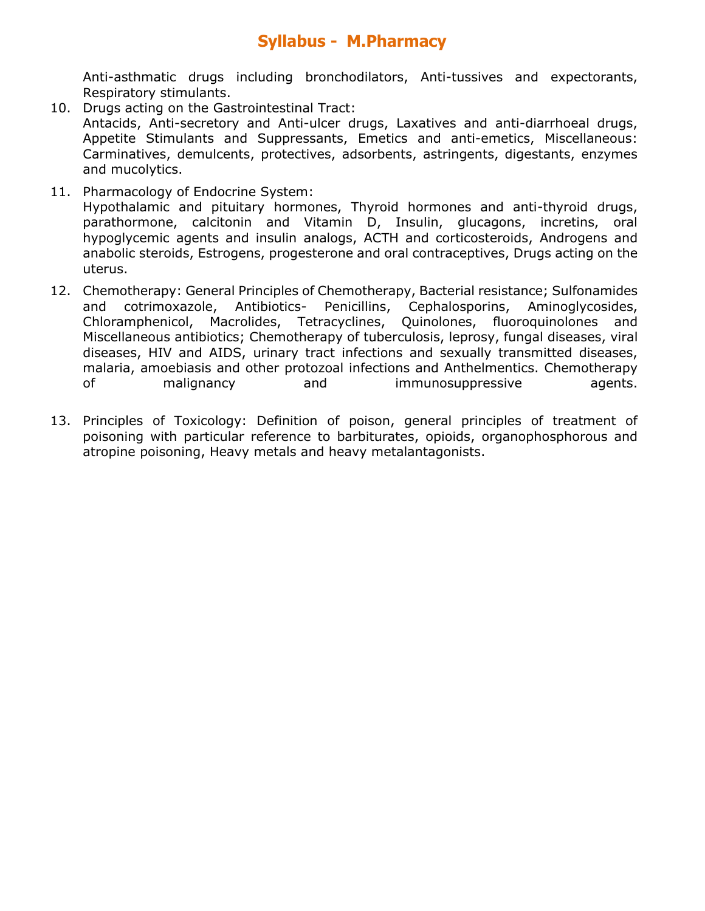Anti-asthmatic drugs including bronchodilators, Anti-tussives and expectorants, Respiratory stimulants.

- 10. Drugs acting on the Gastrointestinal Tract: Antacids, Anti-secretory and Anti-ulcer drugs, Laxatives and anti-diarrhoeal drugs, Appetite Stimulants and Suppressants, Emetics and anti-emetics, Miscellaneous: Carminatives, demulcents, protectives, adsorbents, astringents, digestants, enzymes and mucolytics.
- 11. Pharmacology of Endocrine System: Hypothalamic and pituitary hormones, Thyroid hormones and anti-thyroid drugs, parathormone, calcitonin and Vitamin D, Insulin, glucagons, incretins, oral hypoglycemic agents and insulin analogs, ACTH and corticosteroids, Androgens and anabolic steroids, Estrogens, progesterone and oral contraceptives, Drugs acting on the uterus.
- 12. Chemotherapy: General Principles of Chemotherapy, Bacterial resistance; Sulfonamides and cotrimoxazole, Antibiotics- Penicillins, Cephalosporins, Aminoglycosides, Chloramphenicol, Macrolides, Tetracyclines, Quinolones, fluoroquinolones and Miscellaneous antibiotics; Chemotherapy of tuberculosis, leprosy, fungal diseases, viral diseases, HIV and AIDS, urinary tract infections and sexually transmitted diseases, malaria, amoebiasis and other protozoal infections and Anthelmentics. Chemotherapy of malignancy and immunosuppressive agents.
- 13. Principles of Toxicology: Definition of poison, general principles of treatment of poisoning with particular reference to barbiturates, opioids, organophosphorous and atropine poisoning, Heavy metals and heavy metalantagonists.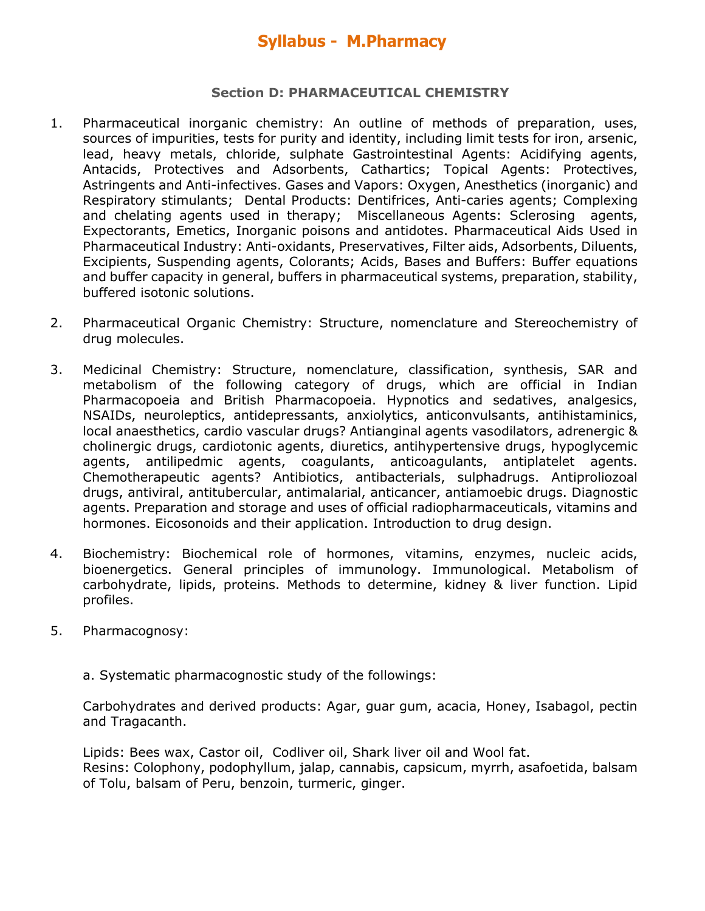#### **Section D: PHARMACEUTICAL CHEMISTRY**

- 1. Pharmaceutical inorganic chemistry: An outline of methods of preparation, uses, sources of impurities, tests for purity and identity, including limit tests for iron, arsenic, lead, heavy metals, chloride, sulphate Gastrointestinal Agents: Acidifying agents, Antacids, Protectives and Adsorbents, Cathartics; Topical Agents: Protectives, Astringents and Anti-infectives. Gases and Vapors: Oxygen, Anesthetics (inorganic) and Respiratory stimulants; Dental Products: Dentifrices, Anti-caries agents; Complexing and chelating agents used in therapy; Miscellaneous Agents: Sclerosing agents, Expectorants, Emetics, Inorganic poisons and antidotes. Pharmaceutical Aids Used in Pharmaceutical Industry: Anti-oxidants, Preservatives, Filter aids, Adsorbents, Diluents, Excipients, Suspending agents, Colorants; Acids, Bases and Buffers: Buffer equations and buffer capacity in general, buffers in pharmaceutical systems, preparation, stability, buffered isotonic solutions.
- 2. Pharmaceutical Organic Chemistry: Structure, nomenclature and Stereochemistry of drug molecules.
- 3. Medicinal Chemistry: Structure, nomenclature, classification, synthesis, SAR and metabolism of the following category of drugs, which are official in Indian Pharmacopoeia and British Pharmacopoeia. Hypnotics and sedatives, analgesics, NSAIDs, neuroleptics, antidepressants, anxiolytics, anticonvulsants, antihistaminics, local anaesthetics, cardio vascular drugs? Antianginal agents vasodilators, adrenergic & cholinergic drugs, cardiotonic agents, diuretics, antihypertensive drugs, hypoglycemic agents, antilipedmic agents, coagulants, anticoagulants, antiplatelet agents. Chemotherapeutic agents? Antibiotics, antibacterials, sulphadrugs. Antiproliozoal drugs, antiviral, antitubercular, antimalarial, anticancer, antiamoebic drugs. Diagnostic agents. Preparation and storage and uses of official radiopharmaceuticals, vitamins and hormones. Eicosonoids and their application. Introduction to drug design.
- 4. Biochemistry: Biochemical role of hormones, vitamins, enzymes, nucleic acids, bioenergetics. General principles of immunology. Immunological. Metabolism of carbohydrate, lipids, proteins. Methods to determine, kidney & liver function. Lipid profiles.
- 5. Pharmacognosy:
	- a. Systematic pharmacognostic study of the followings:

Carbohydrates and derived products: Agar, guar gum, acacia, Honey, Isabagol, pectin and Tragacanth.

Lipids: Bees wax, Castor oil, Codliver oil, Shark liver oil and Wool fat. Resins: Colophony, podophyllum, jalap, cannabis, capsicum, myrrh, asafoetida, balsam of Tolu, balsam of Peru, benzoin, turmeric, ginger.